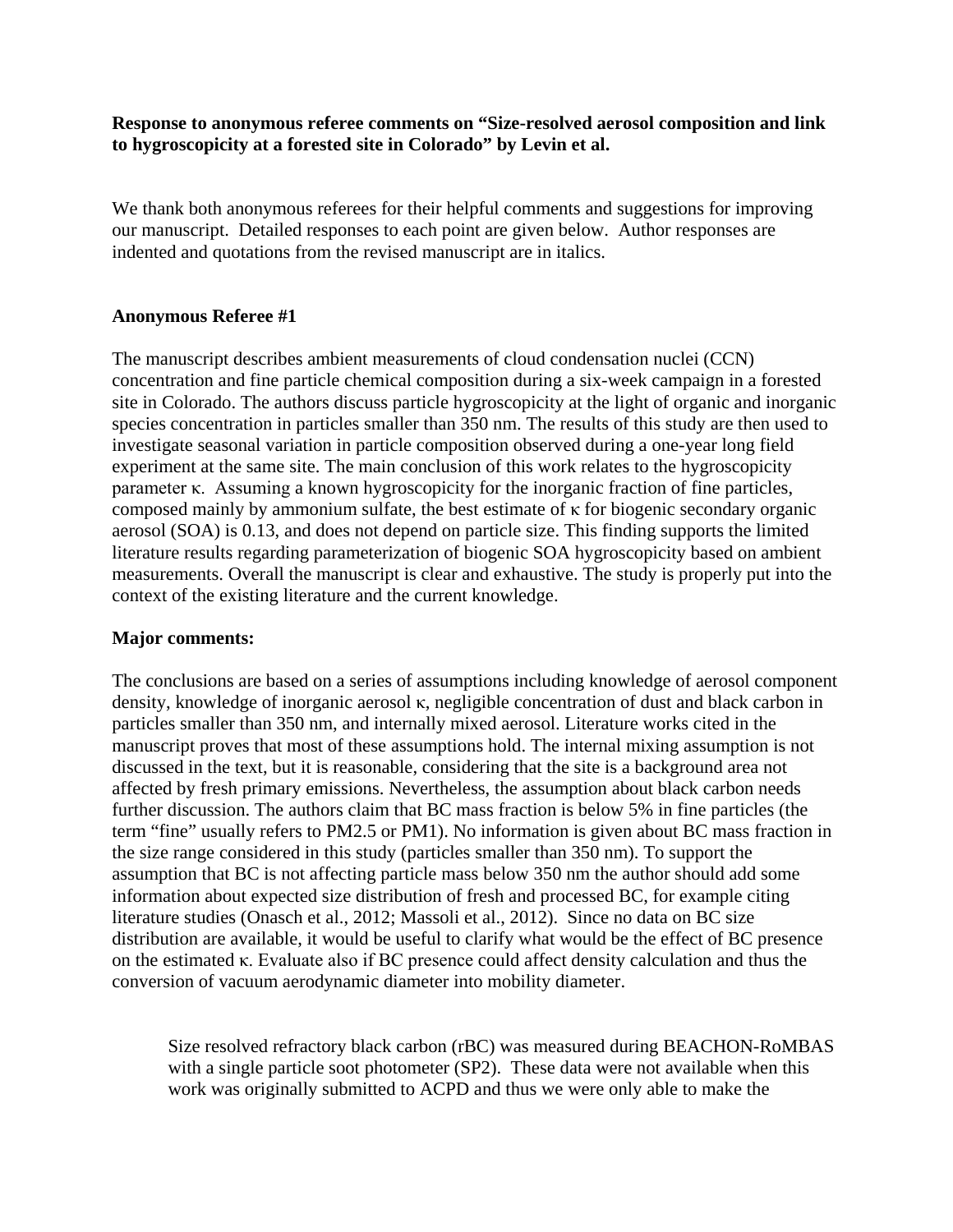## **Response to anonymous referee comments on "Size-resolved aerosol composition and link to hygroscopicity at a forested site in Colorado" by Levin et al.**

We thank both anonymous referees for their helpful comments and suggestions for improving our manuscript. Detailed responses to each point are given below. Author responses are indented and quotations from the revised manuscript are in italics.

## **Anonymous Referee #1**

The manuscript describes ambient measurements of cloud condensation nuclei (CCN) concentration and fine particle chemical composition during a six-week campaign in a forested site in Colorado. The authors discuss particle hygroscopicity at the light of organic and inorganic species concentration in particles smaller than 350 nm. The results of this study are then used to investigate seasonal variation in particle composition observed during a one-year long field experiment at the same site. The main conclusion of this work relates to the hygroscopicity parameter κ. Assuming a known hygroscopicity for the inorganic fraction of fine particles, composed mainly by ammonium sulfate, the best estimate of κ for biogenic secondary organic aerosol (SOA) is 0.13, and does not depend on particle size. This finding supports the limited literature results regarding parameterization of biogenic SOA hygroscopicity based on ambient measurements. Overall the manuscript is clear and exhaustive. The study is properly put into the context of the existing literature and the current knowledge.

## **Major comments:**

The conclusions are based on a series of assumptions including knowledge of aerosol component density, knowledge of inorganic aerosol κ, negligible concentration of dust and black carbon in particles smaller than 350 nm, and internally mixed aerosol. Literature works cited in the manuscript proves that most of these assumptions hold. The internal mixing assumption is not discussed in the text, but it is reasonable, considering that the site is a background area not affected by fresh primary emissions. Nevertheless, the assumption about black carbon needs further discussion. The authors claim that BC mass fraction is below 5% in fine particles (the term "fine" usually refers to PM2.5 or PM1). No information is given about BC mass fraction in the size range considered in this study (particles smaller than 350 nm). To support the assumption that BC is not affecting particle mass below 350 nm the author should add some information about expected size distribution of fresh and processed BC, for example citing literature studies (Onasch et al., 2012; Massoli et al., 2012). Since no data on BC size distribution are available, it would be useful to clarify what would be the effect of BC presence on the estimated κ. Evaluate also if BC presence could affect density calculation and thus the conversion of vacuum aerodynamic diameter into mobility diameter.

Size resolved refractory black carbon (rBC) was measured during BEACHON-RoMBAS with a single particle soot photometer (SP2). These data were not available when this work was originally submitted to ACPD and thus we were only able to make the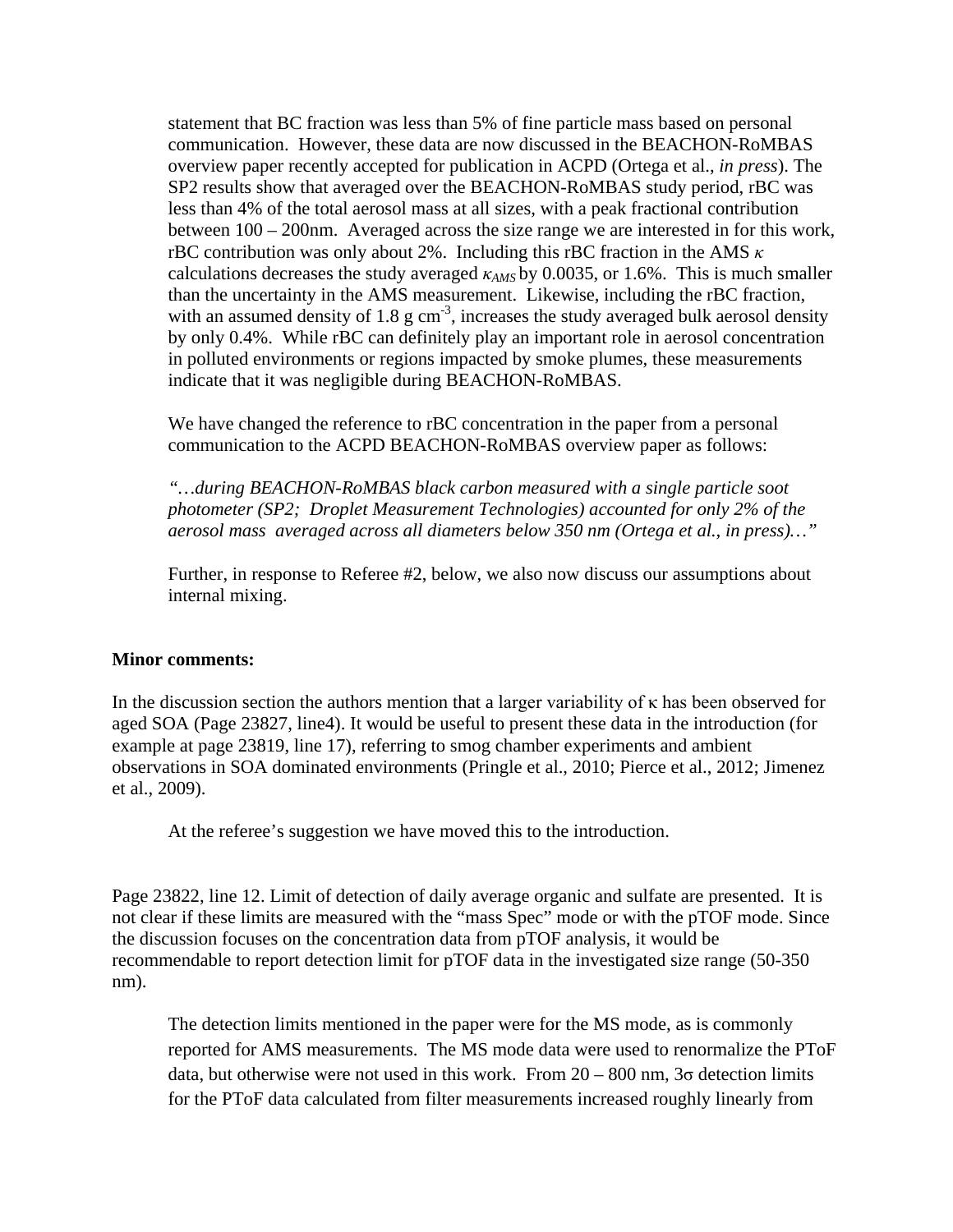statement that BC fraction was less than 5% of fine particle mass based on personal communication. However, these data are now discussed in the BEACHON-RoMBAS overview paper recently accepted for publication in ACPD (Ortega et al., *in press*). The SP2 results show that averaged over the BEACHON-RoMBAS study period, rBC was less than 4% of the total aerosol mass at all sizes, with a peak fractional contribution between 100 – 200nm. Averaged across the size range we are interested in for this work, rBC contribution was only about 2%. Including this rBC fraction in the AMS *κ* calculations decreases the study averaged *κAMS* by 0.0035, or 1.6%. This is much smaller than the uncertainty in the AMS measurement. Likewise, including the rBC fraction, with an assumed density of 1.8  $g \text{ cm}^{-3}$ , increases the study averaged bulk aerosol density by only 0.4%. While rBC can definitely play an important role in aerosol concentration in polluted environments or regions impacted by smoke plumes, these measurements indicate that it was negligible during BEACHON-RoMBAS.

We have changed the reference to rBC concentration in the paper from a personal communication to the ACPD BEACHON-RoMBAS overview paper as follows:

*"…during BEACHON-RoMBAS black carbon measured with a single particle soot photometer (SP2; Droplet Measurement Technologies) accounted for only 2% of the aerosol mass averaged across all diameters below 350 nm (Ortega et al., in press)…"*

Further, in response to Referee #2, below, we also now discuss our assumptions about internal mixing.

## **Minor comments:**

In the discussion section the authors mention that a larger variability of  $\kappa$  has been observed for aged SOA (Page 23827, line4). It would be useful to present these data in the introduction (for example at page 23819, line 17), referring to smog chamber experiments and ambient observations in SOA dominated environments (Pringle et al., 2010; Pierce et al., 2012; Jimenez et al., 2009).

At the referee's suggestion we have moved this to the introduction.

Page 23822, line 12. Limit of detection of daily average organic and sulfate are presented. It is not clear if these limits are measured with the "mass Spec" mode or with the pTOF mode. Since the discussion focuses on the concentration data from pTOF analysis, it would be recommendable to report detection limit for pTOF data in the investigated size range (50-350 nm).

The detection limits mentioned in the paper were for the MS mode, as is commonly reported for AMS measurements. The MS mode data were used to renormalize the PToF data, but otherwise were not used in this work. From  $20 - 800$  nm,  $3\sigma$  detection limits for the PToF data calculated from filter measurements increased roughly linearly from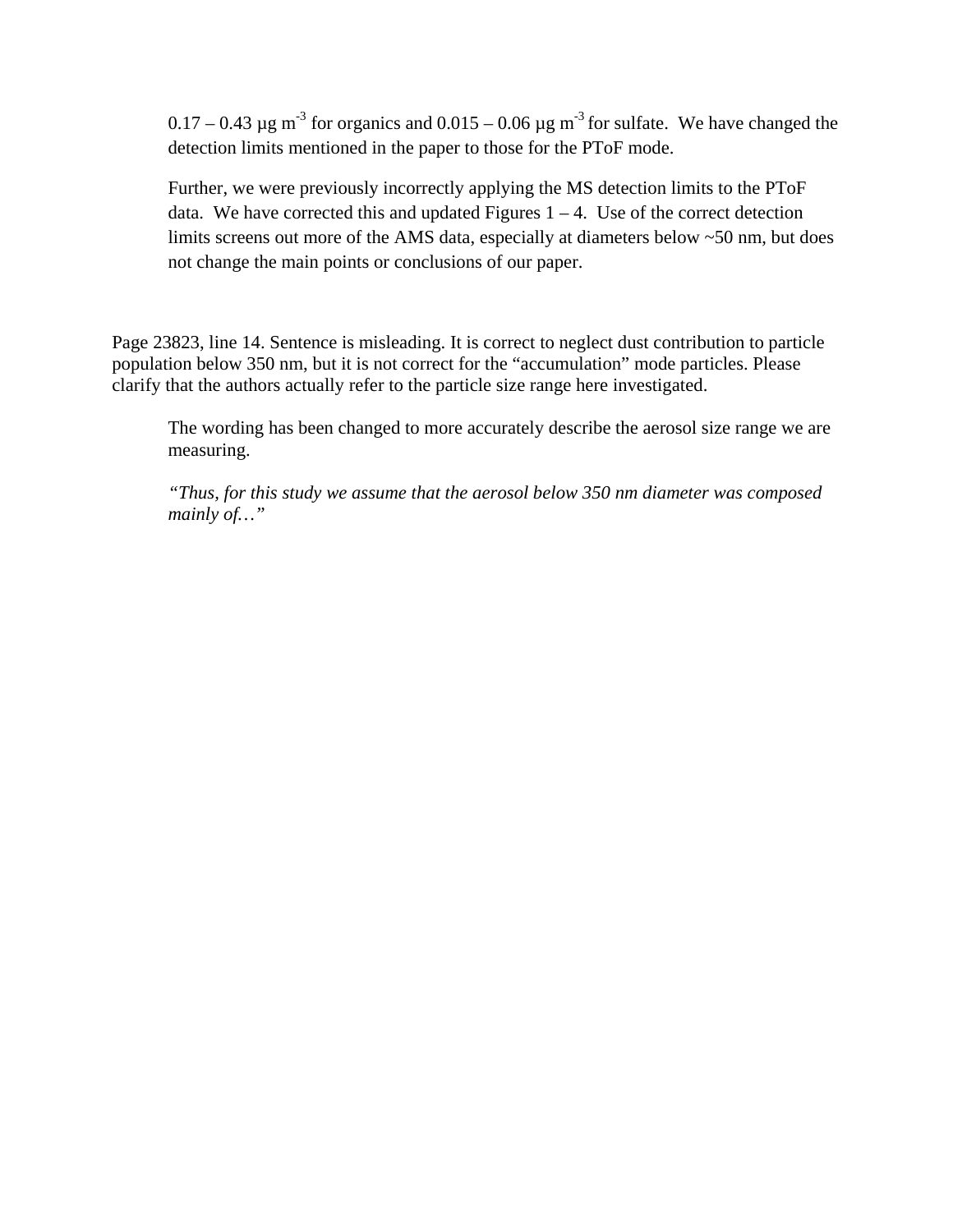$0.17 - 0.43 \,\mu$ g m<sup>-3</sup> for organics and  $0.015 - 0.06 \,\mu$ g m<sup>-3</sup> for sulfate. We have changed the detection limits mentioned in the paper to those for the PToF mode.

Further, we were previously incorrectly applying the MS detection limits to the PToF data. We have corrected this and updated Figures  $1 - 4$ . Use of the correct detection limits screens out more of the AMS data, especially at diameters below ~50 nm, but does not change the main points or conclusions of our paper.

Page 23823, line 14. Sentence is misleading. It is correct to neglect dust contribution to particle population below 350 nm, but it is not correct for the "accumulation" mode particles. Please clarify that the authors actually refer to the particle size range here investigated.

The wording has been changed to more accurately describe the aerosol size range we are measuring.

*"Thus, for this study we assume that the aerosol below 350 nm diameter was composed mainly of…"*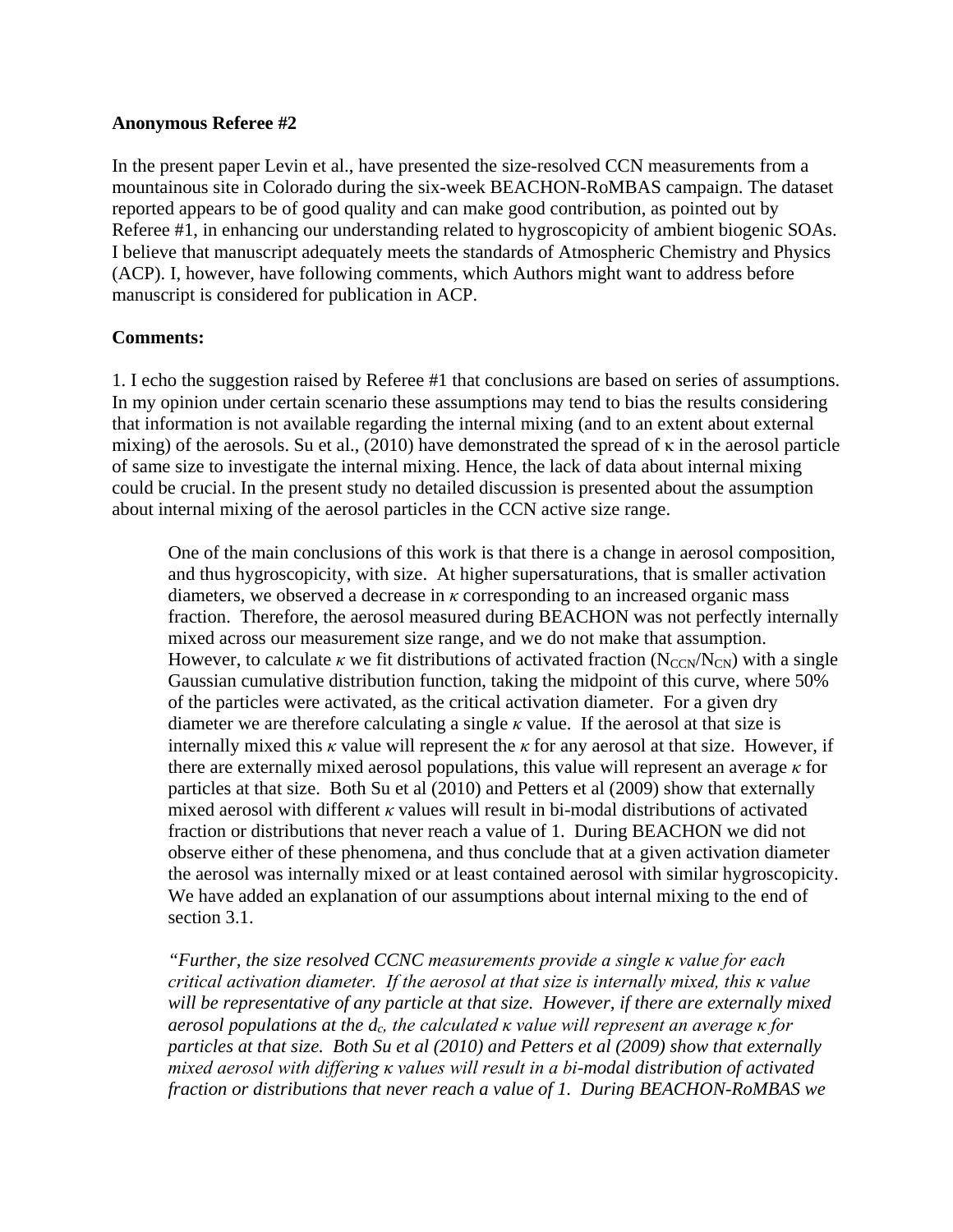#### **Anonymous Referee #2**

In the present paper Levin et al., have presented the size-resolved CCN measurements from a mountainous site in Colorado during the six-week BEACHON-RoMBAS campaign. The dataset reported appears to be of good quality and can make good contribution, as pointed out by Referee #1, in enhancing our understanding related to hygroscopicity of ambient biogenic SOAs. I believe that manuscript adequately meets the standards of Atmospheric Chemistry and Physics (ACP). I, however, have following comments, which Authors might want to address before manuscript is considered for publication in ACP.

# **Comments:**

1. I echo the suggestion raised by Referee #1 that conclusions are based on series of assumptions. In my opinion under certain scenario these assumptions may tend to bias the results considering that information is not available regarding the internal mixing (and to an extent about external mixing) of the aerosols. Su et al., (2010) have demonstrated the spread of κ in the aerosol particle of same size to investigate the internal mixing. Hence, the lack of data about internal mixing could be crucial. In the present study no detailed discussion is presented about the assumption about internal mixing of the aerosol particles in the CCN active size range.

One of the main conclusions of this work is that there is a change in aerosol composition, and thus hygroscopicity, with size. At higher supersaturations, that is smaller activation diameters, we observed a decrease in *κ* corresponding to an increased organic mass fraction. Therefore, the aerosol measured during BEACHON was not perfectly internally mixed across our measurement size range, and we do not make that assumption. However, to calculate  $\kappa$  we fit distributions of activated fraction (N<sub>CCN</sub>/N<sub>CN</sub>) with a single Gaussian cumulative distribution function, taking the midpoint of this curve, where 50% of the particles were activated, as the critical activation diameter. For a given dry diameter we are therefore calculating a single  $\kappa$  value. If the aerosol at that size is internally mixed this  $\kappa$  value will represent the  $\kappa$  for any aerosol at that size. However, if there are externally mixed aerosol populations, this value will represent an average *κ* for particles at that size. Both Su et al (2010) and Petters et al (2009) show that externally mixed aerosol with different *κ* values will result in bi-modal distributions of activated fraction or distributions that never reach a value of 1. During BEACHON we did not observe either of these phenomena, and thus conclude that at a given activation diameter the aerosol was internally mixed or at least contained aerosol with similar hygroscopicity. We have added an explanation of our assumptions about internal mixing to the end of section 3.1.

*"Further, the size resolved CCNC measurements provide a single κ value for each critical activation diameter. If the aerosol at that size is internally mixed, this κ value*  will be representative of any particle at that size. However, if there are externally mixed *aerosol populations at the dc, the calculated κ value will represent an average κ for particles at that size. Both Su et al (2010) and Petters et al (2009) show that externally mixed aerosol with differing κ values will result in a bi-modal distribution of activated fraction or distributions that never reach a value of 1. During BEACHON-RoMBAS we*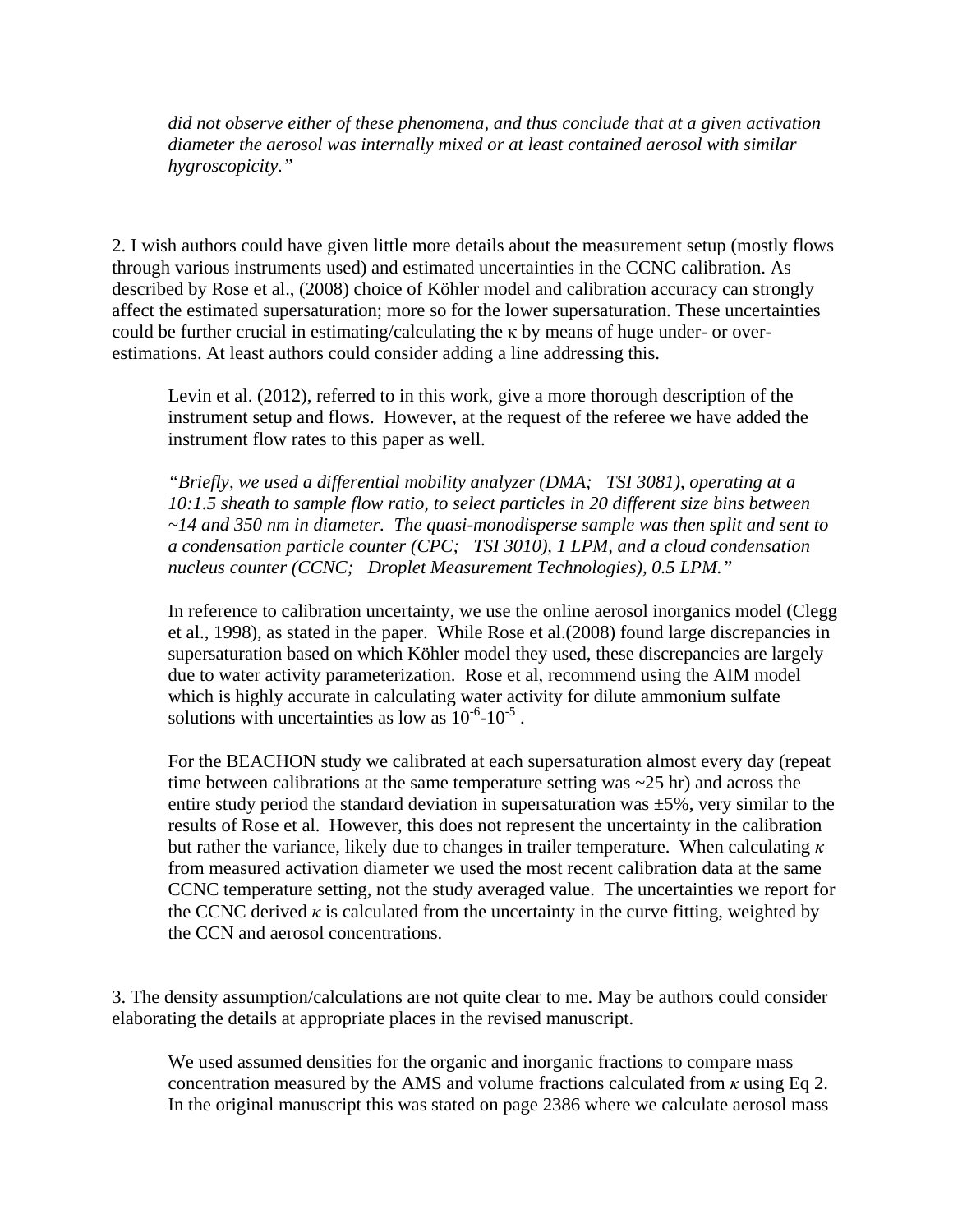*did not observe either of these phenomena, and thus conclude that at a given activation diameter the aerosol was internally mixed or at least contained aerosol with similar hygroscopicity."*

2. I wish authors could have given little more details about the measurement setup (mostly flows through various instruments used) and estimated uncertainties in the CCNC calibration. As described by Rose et al., (2008) choice of Köhler model and calibration accuracy can strongly affect the estimated supersaturation; more so for the lower supersaturation. These uncertainties could be further crucial in estimating/calculating the κ by means of huge under- or overestimations. At least authors could consider adding a line addressing this.

Levin et al. (2012), referred to in this work, give a more thorough description of the instrument setup and flows. However, at the request of the referee we have added the instrument flow rates to this paper as well.

*"Briefly, we used a differential mobility analyzer (DMA; TSI 3081), operating at a 10:1.5 sheath to sample flow ratio, to select particles in 20 different size bins between ~14 and 350 nm in diameter. The quasi-monodisperse sample was then split and sent to a condensation particle counter (CPC; TSI 3010), 1 LPM, and a cloud condensation nucleus counter (CCNC; Droplet Measurement Technologies), 0.5 LPM."*

In reference to calibration uncertainty, we use the online aerosol inorganics model (Clegg et al., 1998), as stated in the paper. While Rose et al.(2008) found large discrepancies in supersaturation based on which Köhler model they used, these discrepancies are largely due to water activity parameterization. Rose et al, recommend using the AIM model which is highly accurate in calculating water activity for dilute ammonium sulfate solutions with uncertainties as low as  $10^{-6}$ - $10^{-5}$ .

For the BEACHON study we calibrated at each supersaturation almost every day (repeat time between calibrations at the same temperature setting was  $\sim$  25 hr) and across the entire study period the standard deviation in supersaturation was  $\pm 5\%$ , very similar to the results of Rose et al. However, this does not represent the uncertainty in the calibration but rather the variance, likely due to changes in trailer temperature. When calculating *κ* from measured activation diameter we used the most recent calibration data at the same CCNC temperature setting, not the study averaged value. The uncertainties we report for the CCNC derived  $\kappa$  is calculated from the uncertainty in the curve fitting, weighted by the CCN and aerosol concentrations.

3. The density assumption/calculations are not quite clear to me. May be authors could consider elaborating the details at appropriate places in the revised manuscript.

We used assumed densities for the organic and inorganic fractions to compare mass concentration measured by the AMS and volume fractions calculated from  $\kappa$  using Eq 2. In the original manuscript this was stated on page 2386 where we calculate aerosol mass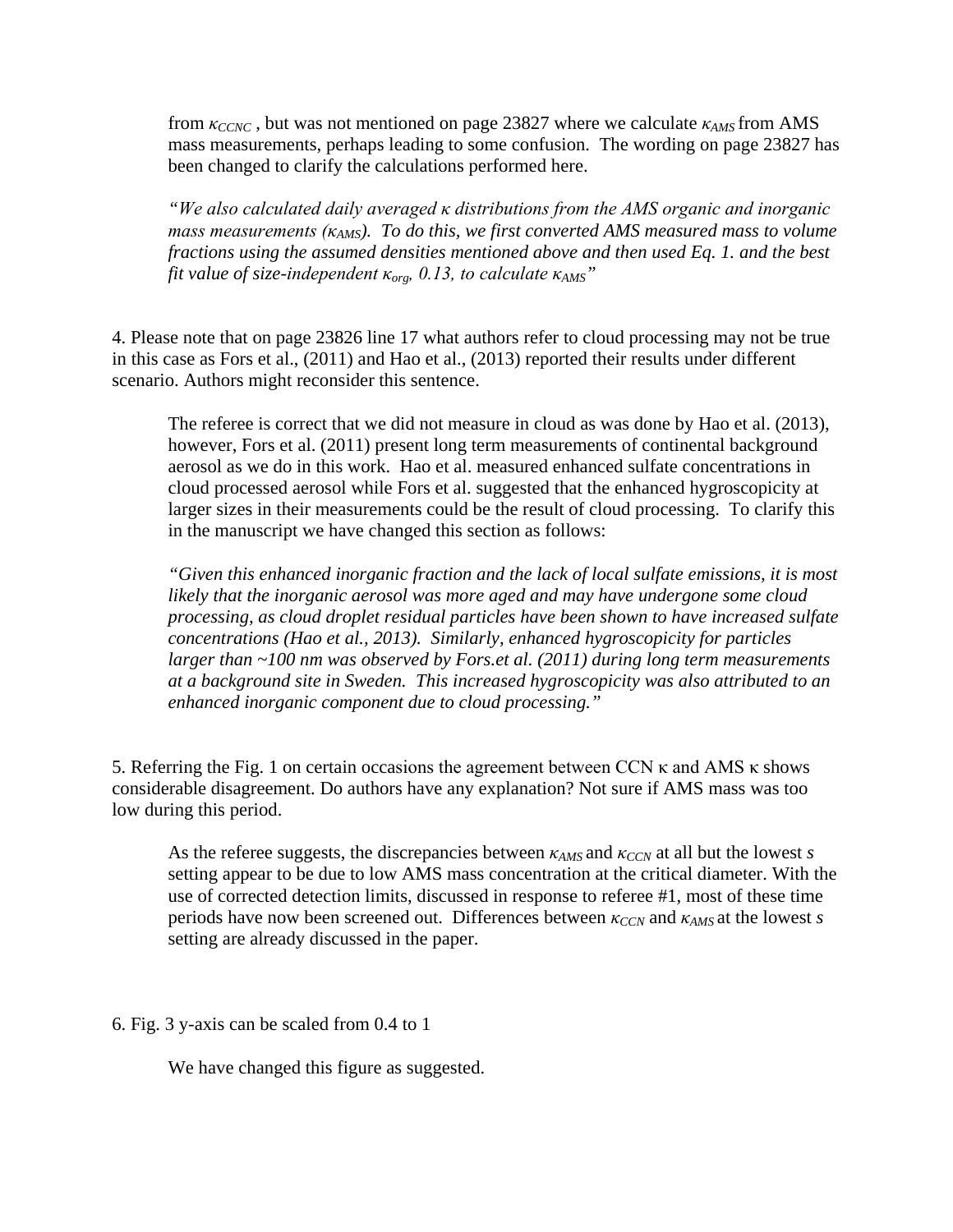from *κCCNC* , but was not mentioned on page 23827 where we calculate *κAMS* from AMS mass measurements, perhaps leading to some confusion. The wording on page 23827 has been changed to clarify the calculations performed here.

*"We also calculated daily averaged κ distributions from the AMS organic and inorganic mass measurements (κAMS). To do this, we first converted AMS measured mass to volume fractions using the assumed densities mentioned above and then used Eq. 1. and the best fit value of size-independent κorg, 0.13, to calculate κAMS"*

4. Please note that on page 23826 line 17 what authors refer to cloud processing may not be true in this case as Fors et al., (2011) and Hao et al., (2013) reported their results under different scenario. Authors might reconsider this sentence.

The referee is correct that we did not measure in cloud as was done by Hao et al. (2013), however, Fors et al. (2011) present long term measurements of continental background aerosol as we do in this work. Hao et al. measured enhanced sulfate concentrations in cloud processed aerosol while Fors et al. suggested that the enhanced hygroscopicity at larger sizes in their measurements could be the result of cloud processing. To clarify this in the manuscript we have changed this section as follows:

*"Given this enhanced inorganic fraction and the lack of local sulfate emissions, it is most likely that the inorganic aerosol was more aged and may have undergone some cloud processing, as cloud droplet residual particles have been shown to have increased sulfate concentrations (Hao et al., 2013). Similarly, enhanced hygroscopicity for particles larger than ~100 nm was observed by Fors.et al. (2011) during long term measurements at a background site in Sweden. This increased hygroscopicity was also attributed to an enhanced inorganic component due to cloud processing."*

5. Referring the Fig. 1 on certain occasions the agreement between CCN  $\kappa$  and AMS  $\kappa$  shows considerable disagreement. Do authors have any explanation? Not sure if AMS mass was too low during this period.

As the referee suggests, the discrepancies between *κAMS* and *κCCN* at all but the lowest *s* setting appear to be due to low AMS mass concentration at the critical diameter. With the use of corrected detection limits, discussed in response to referee #1, most of these time periods have now been screened out. Differences between *κCCN* and *κAMS* at the lowest *s* setting are already discussed in the paper.

6. Fig. 3 y-axis can be scaled from 0.4 to 1

We have changed this figure as suggested.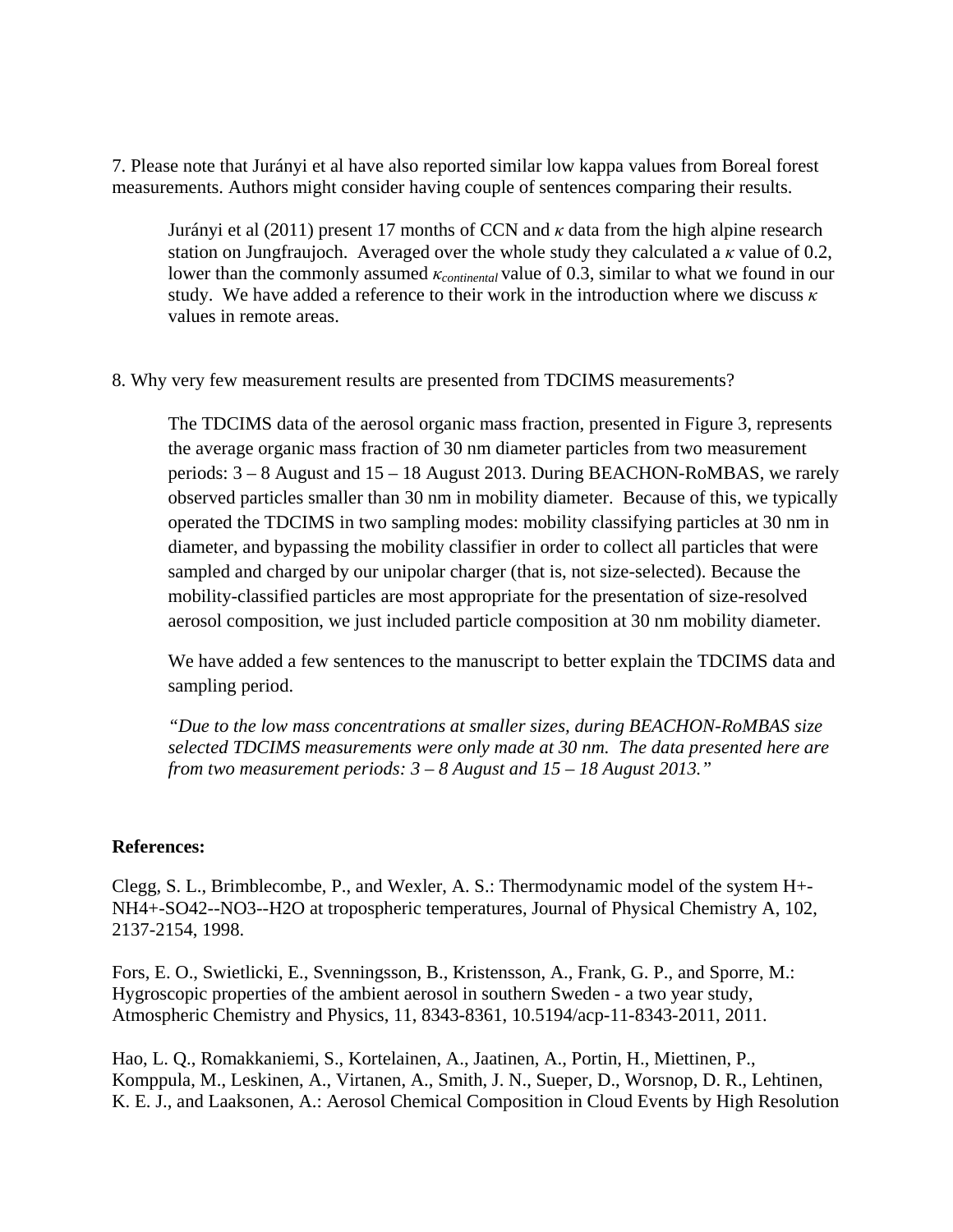7. Please note that Jurányi et al have also reported similar low kappa values from Boreal forest measurements. Authors might consider having couple of sentences comparing their results.

Jurányi et al (2011) present 17 months of CCN and *κ* data from the high alpine research station on Jungfraujoch. Averaged over the whole study they calculated a *κ* value of 0.2, lower than the commonly assumed *κcontinental* value of 0.3, similar to what we found in our study. We have added a reference to their work in the introduction where we discuss *κ* values in remote areas.

8. Why very few measurement results are presented from TDCIMS measurements?

The TDCIMS data of the aerosol organic mass fraction, presented in Figure 3, represents the average organic mass fraction of 30 nm diameter particles from two measurement periods: 3 – 8 August and 15 – 18 August 2013. During BEACHON-RoMBAS, we rarely observed particles smaller than 30 nm in mobility diameter. Because of this, we typically operated the TDCIMS in two sampling modes: mobility classifying particles at 30 nm in diameter, and bypassing the mobility classifier in order to collect all particles that were sampled and charged by our unipolar charger (that is, not size-selected). Because the mobility-classified particles are most appropriate for the presentation of size-resolved aerosol composition, we just included particle composition at 30 nm mobility diameter.

We have added a few sentences to the manuscript to better explain the TDCIMS data and sampling period.

*"Due to the low mass concentrations at smaller sizes, during BEACHON-RoMBAS size selected TDCIMS measurements were only made at 30 nm. The data presented here are from two measurement periods: 3 – 8 August and 15 – 18 August 2013."*

## **References:**

Clegg, S. L., Brimblecombe, P., and Wexler, A. S.: Thermodynamic model of the system H+- NH4+-SO42--NO3--H2O at tropospheric temperatures, Journal of Physical Chemistry A, 102, 2137-2154, 1998.

Fors, E. O., Swietlicki, E., Svenningsson, B., Kristensson, A., Frank, G. P., and Sporre, M.: Hygroscopic properties of the ambient aerosol in southern Sweden - a two year study, Atmospheric Chemistry and Physics, 11, 8343-8361, 10.5194/acp-11-8343-2011, 2011.

Hao, L. Q., Romakkaniemi, S., Kortelainen, A., Jaatinen, A., Portin, H., Miettinen, P., Komppula, M., Leskinen, A., Virtanen, A., Smith, J. N., Sueper, D., Worsnop, D. R., Lehtinen, K. E. J., and Laaksonen, A.: Aerosol Chemical Composition in Cloud Events by High Resolution